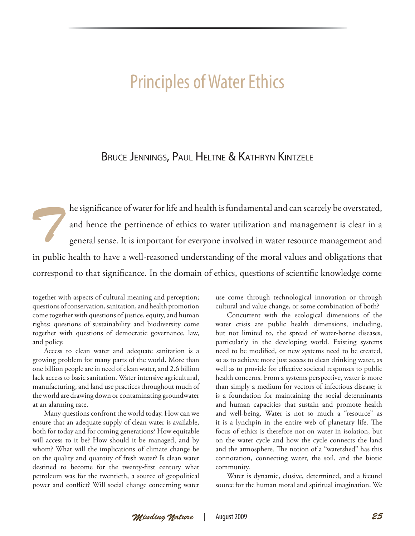# Principles of Water Ethics

# BRUCE JENNINGS, PAUL HELTNE & KATHRYN KINTZELE

*The significance of water for life and health is fundamental and can scarcely be overstated,*<br>and hence the pertinence of ethics to water utilization and management is clear in a<br>general sense. It is important for everyon and hence the pertinence of ethics to water utilization and management is clear in a general sense. It is important for everyone involved in water resource management and in public health to have a well-reasoned understanding of the moral values and obligations that correspond to that significance. In the domain of ethics, questions of scientific knowledge come

together with aspects of cultural meaning and perception; questions of conservation, sanitation, and health promotion come together with questions of justice, equity, and human rights; questions of sustainability and biodiversity come together with questions of democratic governance, law, and policy.

Access to clean water and adequate sanitation is a growing problem for many parts of the world. More than one billion people are in need of clean water, and 2.6 billion lack access to basic sanitation. Water intensive agricultural, manufacturing, and land use practices throughout much of the world are drawing down or contaminating groundwater at an alarming rate.

Many questions confront the world today. How can we ensure that an adequate supply of clean water is available, both for today and for coming generations? How equitable will access to it be? How should it be managed, and by whom? What will the implications of climate change be on the quality and quantity of fresh water? Is clean water destined to become for the twenty-first century what petroleum was for the twentieth, a source of geopolitical power and conflict? Will social change concerning water

use come through technological innovation or through cultural and value change, or some combination of both?

Concurrent with the ecological dimensions of the water crisis are public health dimensions, including, but not limited to, the spread of water-borne diseases, particularly in the developing world. Existing systems need to be modified, or new systems need to be created, so as to achieve more just access to clean drinking water, as well as to provide for effective societal responses to public health concerns. From a systems perspective, water is more than simply a medium for vectors of infectious disease; it is a foundation for maintaining the social determinants and human capacities that sustain and promote health and well-being. Water is not so much a "resource" as it is a lynchpin in the entire web of planetary life. The focus of ethics is therefore not on water in isolation, but on the water cycle and how the cycle connects the land and the atmosphere. The notion of a "watershed" has this connotation, connecting water, the soil, and the biotic community.

Water is dynamic, elusive, determined, and a fecund source for the human moral and spiritual imagination. We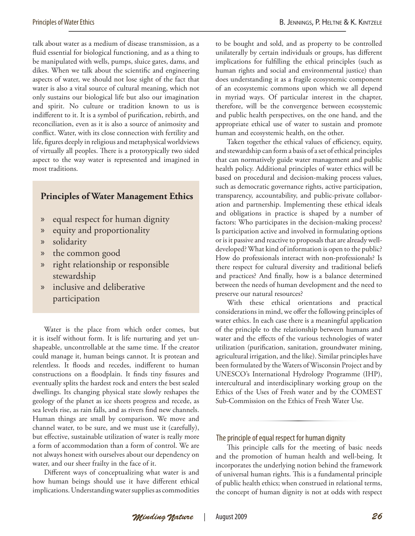talk about water as a medium of disease transmission, as a fluid essential for biological functioning, and as a thing to be manipulated with wells, pumps, sluice gates, dams, and dikes. When we talk about the scientific and engineering aspects of water, we should not lose sight of the fact that water is also a vital source of cultural meaning, which not only sustains our biological life but also our imagination and spirit. No culture or tradition known to us is indifferent to it. It is a symbol of purification, rebirth, and reconciliation, even as it is also a source of animosity and conflict. Water, with its close connection with fertility and life, figures deeply in religious and metaphysical worldviews of virtually all peoples. There is a prototypically two sided aspect to the way water is represented and imagined in most traditions.

# **Principles of Water Management Ethics**

- » equal respect for human dignity
- » equity and proportionality
- » solidarity
- » the common good
- » right relationship or responsible stewardship
- inclusive and deliberative participation

Water is the place from which order comes, but it is itself without form. It is life nurturing and yet unshapeable, uncontrollable at the same time. If the creator could manage it, human beings cannot. It is protean and relentless. It floods and recedes, indifferent to human constructions on a floodplain. It finds tiny fissures and eventually splits the hardest rock and enters the best sealed dwellings. Its changing physical state slowly reshapes the geology of the planet as ice sheets progress and recede, as sea levels rise, as rain falls, and as rivers find new channels. Human things are small by comparison. We move and channel water, to be sure, and we must use it (carefully), but effective, sustainable utilization of water is really more a form of accommodation than a form of control. We are not always honest with ourselves about our dependency on water, and our sheer frailty in the face of it.

Different ways of conceptualizing what water is and how human beings should use it have different ethical implications. Understanding water supplies as commodities to be bought and sold, and as property to be controlled unilaterally by certain individuals or groups, has different implications for fulfilling the ethical principles (such as human rights and social and environmental justice) than does understanding it as a fragile ecosystemic component of an ecosystemic commons upon which we all depend in myriad ways. Of particular interest in the chapter, therefore, will be the convergence between ecosystemic and public health perspectives, on the one hand, and the appropriate ethical use of water to sustain and promote human and ecosystemic health, on the other.

Taken together the ethical values of efficiency, equity, and stewardship can form a basis of a set of ethical principles that can normatively guide water management and public health policy. Additional principles of water ethics will be based on procedural and decision-making process values, such as democratic governance rights, active participation, transparency, accountability, and public-private collaboration and partnership. Implementing these ethical ideals and obligations in practice is shaped by a number of factors: Who participates in the decision-making process? Is participation active and involved in formulating options or is it passive and reactive to proposals that are already welldeveloped? What kind of information is open to the public? How do professionals interact with non-professionals? Is there respect for cultural diversity and traditional beliefs and practices? And finally, how is a balance determined between the needs of human development and the need to preserve our natural resources?

With these ethical orientations and practical considerations in mind, we offer the following principles of water ethics. In each case there is a meaningful application of the principle to the relationship between humans and water and the effects of the various technologies of water utilization (purification, sanitation, groundwater mining, agricultural irrigation, and the like). Similar principles have been formulated by the Waters of Wisconsin Project and by UNESCO's International Hydrology Programme (IHP), intercultural and interdisciplinary working group on the Ethics of the Uses of Fresh water and by the COMEST Sub-Commission on the Ethics of Fresh Water Use.

# The principle of equal respect for human dignity

This principle calls for the meeting of basic needs and the promotion of human health and well-being. It incorporates the underlying notion behind the framework of universal human rights. This is a fundamental principle of public health ethics; when construed in relational terms, the concept of human dignity is not at odds with respect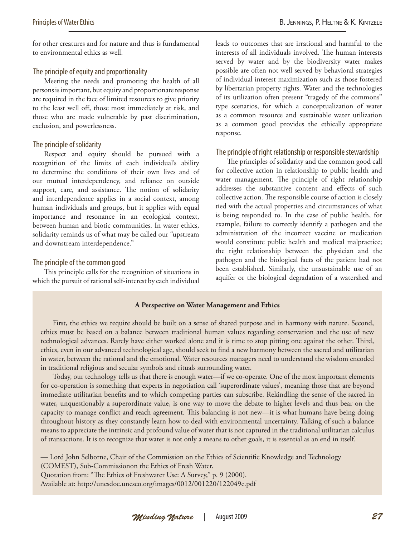for other creatures and for nature and thus is fundamental to environmental ethics as well.

# The principle of equity and proportionality

Meeting the needs and promoting the health of all persons is important, but equity and proportionate response are required in the face of limited resources to give priority to the least well off, those most immediately at risk, and those who are made vulnerable by past discrimination, exclusion, and powerlessness.

#### The principle of solidarity

Respect and equity should be pursued with a recognition of the limits of each individual's ability to determine the conditions of their own lives and of our mutual interdependency, and reliance on outside support, care, and assistance. The notion of solidarity and interdependence applies in a social context, among human individuals and groups, but it applies with equal importance and resonance in an ecological context, between human and biotic communities. In water ethics, solidarity reminds us of what may be called our "upstream and downstream interdependence."

#### The principle of the common good

This principle calls for the recognition of situations in which the pursuit of rational self-interest by each individual leads to outcomes that are irrational and harmful to the interests of all individuals involved. The human interests served by water and by the biodiversity water makes possible are often not well served by behavioral strategies of individual interest maximization such as those fostered by libertarian property rights. Water and the technologies of its utilization often present "tragedy of the commons" type scenarios, for which a conceptualization of water as a common resource and sustainable water utilization as a common good provides the ethically appropriate response.

# The principle of right relationship or responsible stewardship

The principles of solidarity and the common good call for collective action in relationship to public health and water management. The principle of right relationship addresses the substantive content and effects of such collective action. The responsible course of action is closely tied with the actual properties and circumstances of what is being responded to. In the case of public health, for example, failure to correctly identify a pathogen and the administration of the incorrect vaccine or medication would constitute public health and medical malpractice; the right relationship between the physician and the pathogen and the biological facts of the patient had not been established. Similarly, the unsustainable use of an aquifer or the biological degradation of a watershed and

#### **A Perspective on Water Management and Ethics**

First, the ethics we require should be built on a sense of shared purpose and in harmony with nature. Second, ethics must be based on a balance between traditional human values regarding conservation and the use of new technological advances. Rarely have either worked alone and it is time to stop pitting one against the other. Third, ethics, even in our advanced technological age, should seek to find a new harmony between the sacred and utilitarian in water, between the rational and the emotional. Water resources managers need to understand the wisdom encoded in traditional religious and secular symbols and rituals surrounding water.

Today, our technology tells us that there is enough water—if we co-operate. One of the most important elements for co-operation is something that experts in negotiation call 'superordinate values', meaning those that are beyond immediate utilitarian benefits and to which competing parties can subscribe. Rekindling the sense of the sacred in water, unquestionably a superordinate value, is one way to move the debate to higher levels and thus bear on the capacity to manage conflict and reach agreement. This balancing is not new—it is what humans have being doing throughout history as they constantly learn how to deal with environmental uncertainty. Talking of such a balance means to appreciate the intrinsic and profound value of water that is not captured in the traditional utilitarian calculus of transactions. It is to recognize that water is not only a means to other goals, it is essential as an end in itself.

— Lord John Selborne, Chair of the Commission on the Ethics of Scientific Knowledge and Technology (COMEST), Sub-Commissionon the Ethics of Fresh Water.

Quotation from: "The Ethics of Freshwater Use: A Survey," p. 9 (2000).

Available at: http://unesdoc.unesco.org/images/0012/001220/122049e.pdf